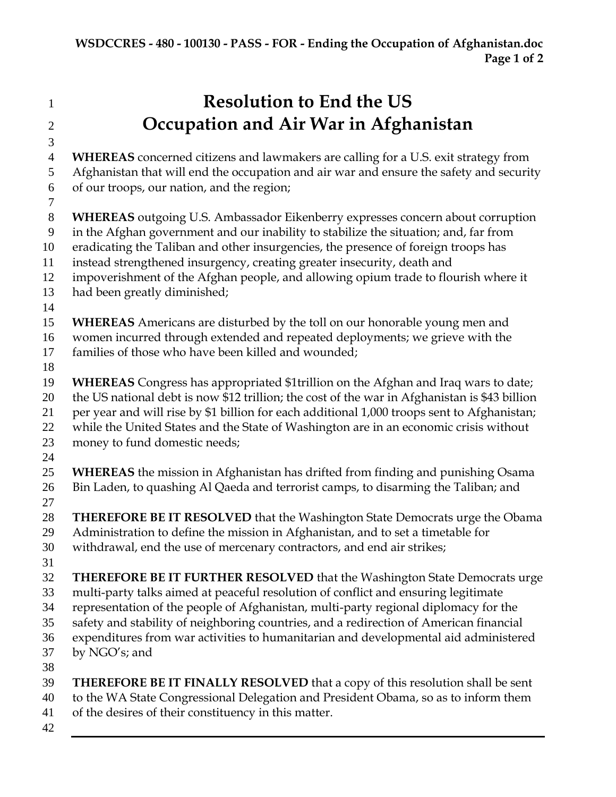**Resolution to End the US Occupation and Air War in Afghanistan WHEREAS** concerned citizens and lawmakers are calling for a U.S. exit strategy from Afghanistan that will end the occupation and air war and ensure the safety and security of our troops, our nation, and the region; **WHEREAS** outgoing U.S. Ambassador Eikenberry expresses concern about corruption in the Afghan government and our inability to stabilize the situation; and, far from eradicating the Taliban and other insurgencies, the presence of foreign troops has instead strengthened insurgency, creating greater insecurity, death and impoverishment of the Afghan people, and allowing opium trade to flourish where it had been greatly diminished; **WHEREAS** Americans are disturbed by the toll on our honorable young men and women incurred through extended and repeated deployments; we grieve with the families of those who have been killed and wounded; **WHEREAS** Congress has appropriated \$1trillion on the Afghan and Iraq wars to date; the US national debt is now \$12 trillion; the cost of the war in Afghanistan is \$43 billion per year and will rise by \$1 billion for each additional 1,000 troops sent to Afghanistan; while the United States and the State of Washington are in an economic crisis without money to fund domestic needs; **WHEREAS** the mission in Afghanistan has drifted from finding and punishing Osama Bin Laden, to quashing Al Qaeda and terrorist camps, to disarming the Taliban; and **THEREFORE BE IT RESOLVED** that the Washington State Democrats urge the Obama Administration to define the mission in Afghanistan, and to set a timetable for withdrawal, end the use of mercenary contractors, and end air strikes; **THEREFORE BE IT FURTHER RESOLVED** that the Washington State Democrats urge multi-party talks aimed at peaceful resolution of conflict and ensuring legitimate representation of the people of Afghanistan, multi-party regional diplomacy for the safety and stability of neighboring countries, and a redirection of American financial expenditures from war activities to humanitarian and developmental aid administered by NGO's; and **THEREFORE BE IT FINALLY RESOLVED** that a copy of this resolution shall be sent to the WA State Congressional Delegation and President Obama, so as to inform them of the desires of their constituency in this matter.